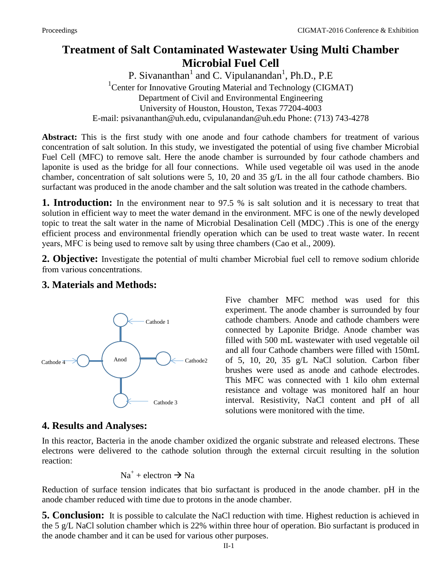## **Treatment of Salt Contaminated Wastewater Using Multi Chamber Microbial Fuel Cell**

P. Sivananthan<sup>1</sup> and C. Vipulanandan<sup>1</sup>, Ph.D., P.E <sup>1</sup> Center for Innovative Grouting Material and Technology (CIGMAT) Department of Civil and Environmental Engineering University of Houston, Houston, Texas 77204-4003 E-mail: [psivananthan@uh.edu,](mailto:psivananthan@uh.edu) cvipulanandan@uh.edu Phone: (713) 743-4278

**Abstract:** This is the first study with one anode and four cathode chambers for treatment of various concentration of salt solution. In this study, we investigated the potential of using five chamber Microbial Fuel Cell (MFC) to remove salt. Here the anode chamber is surrounded by four cathode chambers and laponite is used as the bridge for all four connections. While used vegetable oil was used in the anode chamber, concentration of salt solutions were 5, 10, 20 and 35 g/L in the all four cathode chambers. Bio surfactant was produced in the anode chamber and the salt solution was treated in the cathode chambers.

**1. Introduction:** In the environment near to 97.5 % is salt solution and it is necessary to treat that solution in efficient way to meet the water demand in the environment. MFC is one of the newly developed topic to treat the salt water in the name of Microbial Desalination Cell (MDC) .This is one of the energy efficient process and environmental friendly operation which can be used to treat waste water. In recent years, MFC is being used to remove salt by using three chambers (Cao et al., 2009).

**2. Objective:** Investigate the potential of multi chamber Microbial fuel cell to remove sodium chloride from various concentrations.

## **3. Materials and Methods:**



Five chamber MFC method was used for this experiment. The anode chamber is surrounded by four cathode chambers. Anode and cathode chambers were connected by Laponite Bridge. Anode chamber was filled with 500 mL wastewater with used vegetable oil and all four Cathode chambers were filled with 150mL of 5, 10, 20, 35 g/L NaCl solution. Carbon fiber brushes were used as anode and cathode electrodes. This MFC was connected with 1 kilo ohm external resistance and voltage was monitored half an hour interval. Resistivity, NaCl content and pH of all solutions were monitored with the time.

## **4. Results and Analyses:**

In this reactor, Bacteria in the anode chamber oxidized the organic substrate and released electrons. These electrons were delivered to the cathode solution through the external circuit resulting in the solution reaction:

$$
Na^+ + electron \rightarrow Na
$$

Reduction of surface tension indicates that bio surfactant is produced in the anode chamber. pH in the anode chamber reduced with time due to protons in the anode chamber.

**5. Conclusion:** It is possible to calculate the NaCl reduction with time. Highest reduction is achieved in the 5 g/L NaCl solution chamber which is 22% within three hour of operation. Bio surfactant is produced in the anode chamber and it can be used for various other purposes.